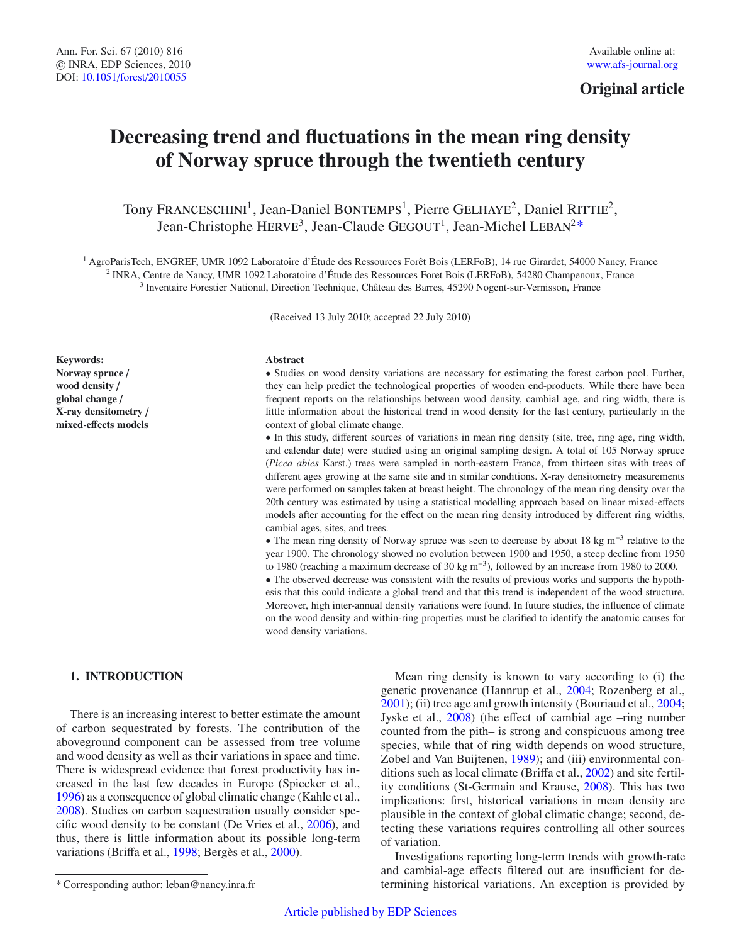# **Original article**

# **Decreasing trend and fluctuations in the mean ring density of Norway spruce through the twentieth century**

Tony FRANCESCHINI<sup>1</sup>, Jean-Daniel BONTEMPS<sup>1</sup>, Pierre GELHAYE<sup>2</sup>, Daniel RITTIE<sup>2</sup>, Jean-Christophe HERVE<sup>3</sup>, Jean-Claude GEGOUT<sup>1</sup>, Jean-Michel LEBAN<sup>2\*</sup>

<sup>1</sup> AgroParisTech, ENGREF, UMR 1092 Laboratoire d'Étude des Ressources Forêt Bois (LERFoB), 14 rue Girardet, 54000 Nancy, France <sup>2</sup> INRA, Centre de Nancy, UMR 1092 Laboratoire d'Étude des Ressources Foret Bois (LERFoB), 54280 Champenoux, France <sup>3</sup> Inventaire Forestier National, Direction Technique, Château des Barres, 45290 Nogent-sur-Vernisson, France

(Received 13 July 2010; accepted 22 July 2010)

**Keywords: Norway spruce** / **wood density** / **global change** / **X-ray densitometry** / **mixed-e**ff**ects models**

# **Abstract**

• Studies on wood density variations are necessary for estimating the forest carbon pool. Further, they can help predict the technological properties of wooden end-products. While there have been frequent reports on the relationships between wood density, cambial age, and ring width, there is little information about the historical trend in wood density for the last century, particularly in the context of global climate change.

• In this study, different sources of variations in mean ring density (site, tree, ring age, ring width, and calendar date) were studied using an original sampling design. A total of 105 Norway spruce (*Picea abies* Karst.) trees were sampled in north-eastern France, from thirteen sites with trees of different ages growing at the same site and in similar conditions. X-ray densitometry measurements were performed on samples taken at breast height. The chronology of the mean ring density over the 20th century was estimated by using a statistical modelling approach based on linear mixed-effects models after accounting for the effect on the mean ring density introduced by different ring widths, cambial ages, sites, and trees.

• The mean ring density of Norway spruce was seen to decrease by about 18 kg m<sup>-3</sup> relative to the year 1900. The chronology showed no evolution between 1900 and 1950, a steep decline from 1950 to 1980 (reaching a maximum decrease of 30 kg m−3), followed by an increase from 1980 to 2000. • The observed decrease was consistent with the results of previous works and supports the hypothesis that this could indicate a global trend and that this trend is independent of the wood structure. Moreover, high inter-annual density variations were found. In future studies, the influence of climate on the wood density and within-ring properties must be clarified to identify the anatomic causes for wood density variations.

# **1. INTRODUCTION**

There is an increasing interest to better estimate the amount of carbon sequestrated by forests. The contribution of the aboveground component can be assessed from tree volume and wood density as well as their variations in space and time. There is widespread evidence that forest productivity has increased in the last few decades in Europe (Spiecker et al., [1996\)](#page-9-0) as a consequence of global climatic change (Kahle et al., [2008\)](#page-9-1). Studies on carbon sequestration usually consider specific wood density to be constant (De Vries et al., [2006\)](#page-8-0), and thus, there is little information about its possible long-term variations (Briffa et al., [1998](#page-8-1); Bergès et al., [2000\)](#page-8-2).

Mean ring density is known to vary according to (i) the genetic provenance (Hannrup et al., [2004;](#page-8-3) Rozenberg et al., [2001\)](#page-9-2); (ii) tree age and growth intensity (Bouriaud et al., [2004;](#page-8-4) Jyske et al., [2008](#page-9-3)) (the effect of cambial age –ring number counted from the pith– is strong and conspicuous among tree species, while that of ring width depends on wood structure, Zobel and Van Buijtenen, [1989\)](#page-9-4); and (iii) environmental conditions such as local climate (Briffa et al., [2002\)](#page-8-5) and site fertility conditions (St-Germain and Krause, [2008\)](#page-9-5). This has two implications: first, historical variations in mean density are plausible in the context of global climatic change; second, detecting these variations requires controlling all other sources of variation.

Investigations reporting long-term trends with growth-rate and cambial-age effects filtered out are insufficient for determining historical variations. An exception is provided by

<sup>\*</sup> Corresponding author: leban@nancy.inra.fr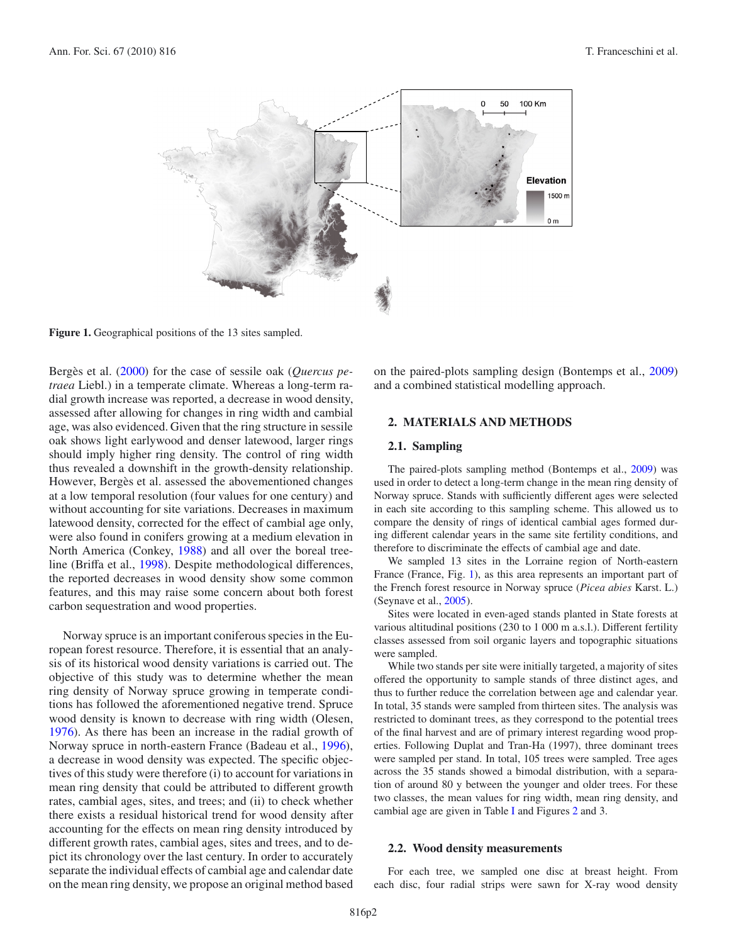<span id="page-1-0"></span>

**Figure 1.** Geographical positions of the 13 sites sampled.

Bergès et al. [\(2000\)](#page-8-2) for the case of sessile oak (*Quercus petraea* Liebl.) in a temperate climate. Whereas a long-term radial growth increase was reported, a decrease in wood density, assessed after allowing for changes in ring width and cambial age, was also evidenced. Given that the ring structure in sessile oak shows light earlywood and denser latewood, larger rings should imply higher ring density. The control of ring width thus revealed a downshift in the growth-density relationship. However, Bergès et al. assessed the abovementioned changes at a low temporal resolution (four values for one century) and without accounting for site variations. Decreases in maximum latewood density, corrected for the effect of cambial age only, were also found in conifers growing at a medium elevation in North America (Conkey, [1988](#page-8-6)) and all over the boreal treeline (Briffa et al., [1998\)](#page-8-1). Despite methodological differences, the reported decreases in wood density show some common features, and this may raise some concern about both forest carbon sequestration and wood properties.

Norway spruce is an important coniferous species in the European forest resource. Therefore, it is essential that an analysis of its historical wood density variations is carried out. The objective of this study was to determine whether the mean ring density of Norway spruce growing in temperate conditions has followed the aforementioned negative trend. Spruce wood density is known to decrease with ring width (Olesen, [1976\)](#page-9-6). As there has been an increase in the radial growth of Norway spruce in north-eastern France (Badeau et al., [1996\)](#page-8-7), a decrease in wood density was expected. The specific objectives of this study were therefore (i) to account for variations in mean ring density that could be attributed to different growth rates, cambial ages, sites, and trees; and (ii) to check whether there exists a residual historical trend for wood density after accounting for the effects on mean ring density introduced by different growth rates, cambial ages, sites and trees, and to depict its chronology over the last century. In order to accurately separate the individual effects of cambial age and calendar date on the mean ring density, we propose an original method based on the paired-plots sampling design (Bontemps et al., [2009\)](#page-8-8) and a combined statistical modelling approach.

# **2. MATERIALS AND METHODS**

#### **2.1. Sampling**

The paired-plots sampling method (Bontemps et al., [2009\)](#page-8-8) was used in order to detect a long-term change in the mean ring density of Norway spruce. Stands with sufficiently different ages were selected in each site according to this sampling scheme. This allowed us to compare the density of rings of identical cambial ages formed during different calendar years in the same site fertility conditions, and therefore to discriminate the effects of cambial age and date.

We sampled 13 sites in the Lorraine region of North-eastern France (France, Fig. [1\)](#page-1-0), as this area represents an important part of the French forest resource in Norway spruce (*Picea abies* Karst. L.) (Seynave et al., [2005](#page-9-7)).

Sites were located in even-aged stands planted in State forests at various altitudinal positions (230 to 1 000 m a.s.l.). Different fertility classes assessed from soil organic layers and topographic situations were sampled.

While two stands per site were initially targeted, a majority of sites offered the opportunity to sample stands of three distinct ages, and thus to further reduce the correlation between age and calendar year. In total, 35 stands were sampled from thirteen sites. The analysis was restricted to dominant trees, as they correspond to the potential trees of the final harvest and are of primary interest regarding wood properties. Following Duplat and Tran-Ha (1997), three dominant trees were sampled per stand. In total, 105 trees were sampled. Tree ages across the 35 stands showed a bimodal distribution, with a separation of around 80 y between the younger and older trees. For these two classes, the mean values for ring width, mean ring density, and cambial age are given in Table [I](#page-2-0) and Figures [2](#page-3-0) and 3.

### **2.2. Wood density measurements**

For each tree, we sampled one disc at breast height. From each disc, four radial strips were sawn for X-ray wood density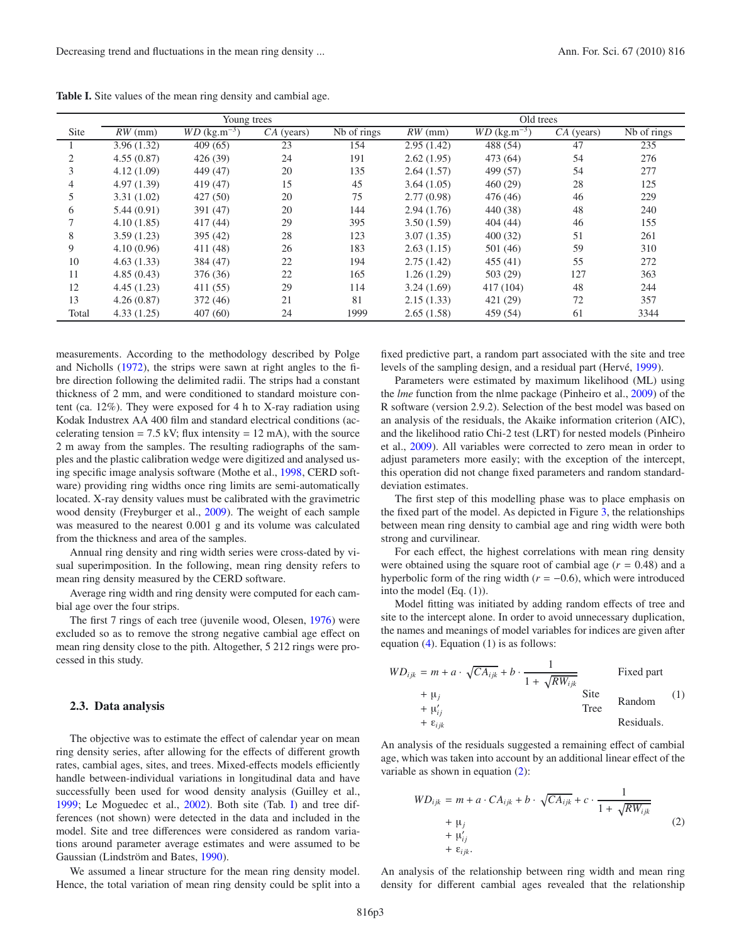|                             | Young trees |                            |            |             | Old trees  |                            |            |                                 |  |
|-----------------------------|-------------|----------------------------|------------|-------------|------------|----------------------------|------------|---------------------------------|--|
| Site                        | $RW$ (mm)   | $WD$ (kg.m <sup>-3</sup> ) | CA (years) | Nb of rings | $RW$ (mm)  | $WD$ (kg.m <sup>-3</sup> ) | CA (years) | $\overline{\text{Nb}}$ of rings |  |
|                             | 3.96(1.32)  | 409(65)                    | 23         | 154         | 2.95(1.42) | 488 (54)                   | 47         | 235                             |  |
| $\mathcal{D}_{\mathcal{L}}$ | 4.55(0.87)  | 426(39)                    | 24         | 191         | 2.62(1.95) | 473 (64)                   | 54         | 276                             |  |
|                             | 4.12(1.09)  | 449 (47)                   | 20         | 135         | 2.64(1.57) | 499 (57)                   | 54         | 277                             |  |
| 4                           | 4.97(1.39)  | 419 (47)                   | 15         | 45          | 3.64(1.05) | 460(29)                    | 28         | 125                             |  |
|                             | 3.31(1.02)  | 427 (50)                   | 20         | 75          | 2.77(0.98) | 476 (46)                   | 46         | 229                             |  |
| 6                           | 5.44(0.91)  | 391 (47)                   | 20         | 144         | 2.94(1.76) | 440 (38)                   | 48         | 240                             |  |
|                             | 4.10(1.85)  | 417(44)                    | 29         | 395         | 3.50(1.59) | 404(44)                    | 46         | 155                             |  |
| 8                           | 3.59(1.23)  | 395 (42)                   | 28         | 123         | 3.07(1.35) | 400(32)                    | 51         | 261                             |  |
| 9                           | 4.10(0.96)  | 411 (48)                   | 26         | 183         | 2.63(1.15) | 501(46)                    | 59         | 310                             |  |
| 10                          | 4.63(1.33)  | 384 (47)                   | 22         | 194         | 2.75(1.42) | 455(41)                    | 55         | 272                             |  |
| 11                          | 4.85(0.43)  | 376 (36)                   | 22         | 165         | 1.26(1.29) | 503 (29)                   | 127        | 363                             |  |
| 12                          | 4.45(1.23)  | 411 (55)                   | 29         | 114         | 3.24(1.69) | 417 (104)                  | 48         | 244                             |  |
| 13                          | 4.26(0.87)  | 372 (46)                   | 21         | 81          | 2.15(1.33) | 421 (29)                   | 72         | 357                             |  |
| Total                       | 4.33(1.25)  | 407(60)                    | 24         | 1999        | 2.65(1.58) | 459 (54)                   | 61         | 3344                            |  |

<span id="page-2-0"></span>**Table I.** Site values of the mean ring density and cambial age.

measurements. According to the methodology described by Polge and Nicholls [\(1972](#page-9-8)), the strips were sawn at right angles to the fibre direction following the delimited radii. The strips had a constant thickness of 2 mm, and were conditioned to standard moisture content (ca. 12%). They were exposed for 4 h to X-ray radiation using Kodak Industrex AA 400 film and standard electrical conditions (accelerating tension =  $7.5$  kV; flux intensity =  $12$  mA), with the source 2 m away from the samples. The resulting radiographs of the samples and the plastic calibration wedge were digitized and analysed using specific image analysis software (Mothe et al., [1998](#page-9-9), CERD software) providing ring widths once ring limits are semi-automatically located. X-ray density values must be calibrated with the gravimetric wood density (Freyburger et al., [2009](#page-8-9)). The weight of each sample was measured to the nearest 0.001 g and its volume was calculated from the thickness and area of the samples.

Annual ring density and ring width series were cross-dated by visual superimposition. In the following, mean ring density refers to mean ring density measured by the CERD software.

Average ring width and ring density were computed for each cambial age over the four strips.

The first 7 rings of each tree (juvenile wood, Olesen, [1976](#page-9-6)) were excluded so as to remove the strong negative cambial age effect on mean ring density close to the pith. Altogether, 5 212 rings were processed in this study.

#### **2.3. Data analysis**

The objective was to estimate the effect of calendar year on mean ring density series, after allowing for the effects of different growth rates, cambial ages, sites, and trees. Mixed-effects models efficiently handle between-individual variations in longitudinal data and have successfully been used for wood density analysis (Guilley et al., [1999](#page-8-10); Le Moguedec et al., [2002](#page-9-10)). Both site (Tab. [I\)](#page-2-0) and tree differences (not shown) were detected in the data and included in the model. Site and tree differences were considered as random variations around parameter average estimates and were assumed to be Gaussian (Lindström and Bates, [1990](#page-9-11)).

We assumed a linear structure for the mean ring density model. Hence, the total variation of mean ring density could be split into a

fixed predictive part, a random part associated with the site and tree levels of the sampling design, and a residual part (Hervé, [1999](#page-8-11)).

Parameters were estimated by maximum likelihood (ML) using the *lme* function from the nlme package (Pinheiro et al., [2009\)](#page-9-12) of the R software (version 2.9.2). Selection of the best model was based on an analysis of the residuals, the Akaike information criterion (AIC), and the likelihood ratio Chi-2 test (LRT) for nested models (Pinheiro et al., [2009](#page-9-12)). All variables were corrected to zero mean in order to adjust parameters more easily; with the exception of the intercept, this operation did not change fixed parameters and random standarddeviation estimates.

The first step of this modelling phase was to place emphasis on the fixed part of the model. As depicted in Figure [3,](#page-4-0) the relationships between mean ring density to cambial age and ring width were both strong and curvilinear.

For each effect, the highest correlations with mean ring density were obtained using the square root of cambial age  $(r = 0.48)$  and a hyperbolic form of the ring width  $(r = -0.6)$ , which were introduced into the model (Eq. (1)).

<span id="page-2-1"></span>Model fitting was initiated by adding random effects of tree and site to the intercept alone. In order to avoid unnecessary duplication, the names and meanings of model variables for indices are given after equation [\(4\)](#page-4-1). Equation (1) is as follows:

$$
WD_{ijk} = m + a \cdot \sqrt{CA_{ijk}} + b \cdot \frac{1}{1 + \sqrt{RW_{ijk}}}
$$
  
 
$$
+ \mu_j
$$
  
 
$$
+ \mu'_{ij}
$$
  
 
$$
+ \varepsilon_{ijk}
$$
  
 
$$
+ \varepsilon_{ijk}
$$
  
 
$$
+ \varepsilon_{ijk}
$$
  
 
$$
+ \varepsilon_{ijk}
$$
  
 
$$
+ \varepsilon_{ijk}
$$
  
 
$$
+ \varepsilon_{ijk}
$$
  
 
$$
+ \varepsilon_{ijk}
$$
  
 
$$
+ \varepsilon_{ijk}
$$
  
 
$$
+ \varepsilon_{ijk}
$$
  
 
$$
+ \varepsilon_{ijk}
$$
  
 
$$
+ \varepsilon_{ijk}
$$
  
 
$$
+ \varepsilon_{ijk}
$$
  
 
$$
+ \varepsilon_{ijk}
$$
  
 
$$
+ \varepsilon_{ijk}
$$
  
 
$$
+ \varepsilon_{ijk}
$$
  
 
$$
+ \varepsilon_{ijk}
$$
  
 
$$
+ \varepsilon_{ijk}
$$
  
 
$$
+ \varepsilon_{ijk}
$$
  
 
$$
+ \varepsilon_{ijk}
$$
  
 
$$
+ \varepsilon_{ijk}
$$
  
 
$$
+ \varepsilon_{ijk}
$$
  
 
$$
+ \varepsilon_{ijk}
$$
  
 
$$
+ \varepsilon_{ijk}
$$
  
 
$$
+ \varepsilon_{ijk}
$$
  
 
$$
+ \varepsilon_{ijk}
$$
  
 
$$
+ \varepsilon_{ijk}
$$
  
 
$$
+ \varepsilon_{ijk}
$$
  
 
$$
+ \varepsilon_{ijk}
$$
  
 
$$
+ \varepsilon_{ijk}
$$
  
 
$$
+ \varepsilon_{ijk}
$$
  
 
$$
+ \varepsilon_{ijk}
$$
  
 
$$
+ \varepsilon_{ijk}
$$
  
 
$$
+ \varepsilon_{ijk}
$$
  
 
$$
+ \varepsilon_{ijk}
$$
  
 
$$
+ \varepsilon_{ijk}
$$
  
 
$$
+ \varepsilon_{ijk}
$$
  
 
$$
+ \varepsilon_{ijk}
$$
  
 
$$
+ \varepsilon_{ijk}
$$
  
  $$ 

An analysis of the residuals suggested a remaining effect of cambial age, which was taken into account by an additional linear effect of the variable as shown in equation [\(2\)](#page-2-1):

$$
WD_{ijk} = m + a \cdot CA_{ijk} + b \cdot \sqrt{CA_{ijk}} + c \cdot \frac{1}{1 + \sqrt{RW_{ijk}}}
$$
  
+  $\mu_{ij}$   
+  $\mu'_{ij}$   
+  $\varepsilon_{ijk}$ . (2)

An analysis of the relationship between ring width and mean ring density for different cambial ages revealed that the relationship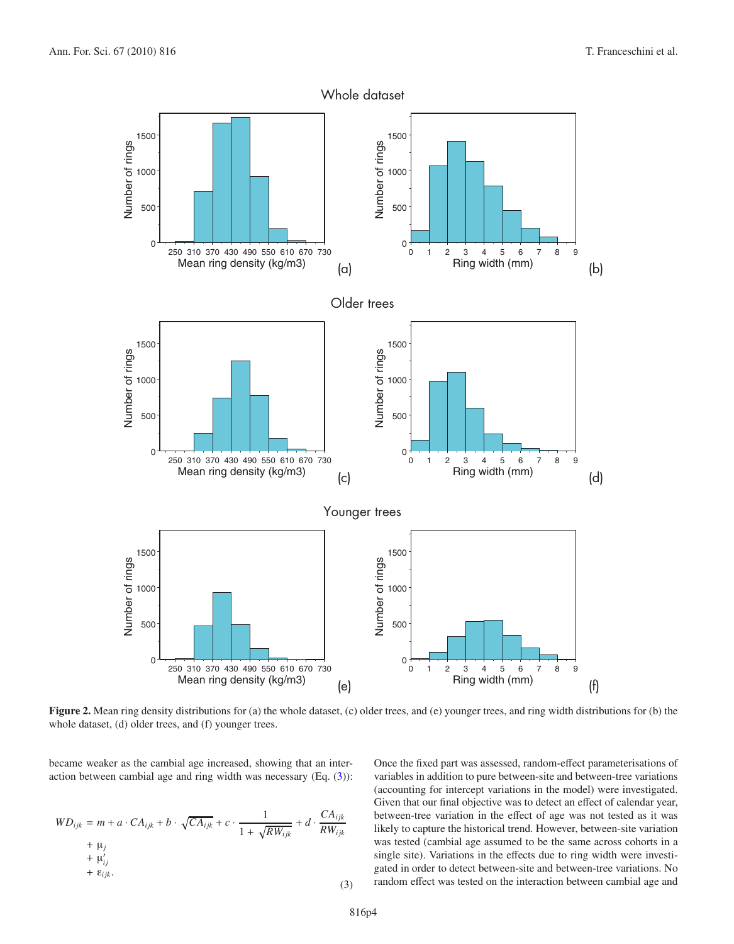

<span id="page-3-1"></span><span id="page-3-0"></span>**Figure 2.** Mean ring density distributions for (a) the whole dataset, (c) older trees, and (e) younger trees, and ring width distributions for (b) the whole dataset, (d) older trees, and (f) younger trees.

became weaker as the cambial age increased, showing that an interaction between cambial age and ring width was necessary (Eq. [\(3\)](#page-3-1)):

$$
WD_{ijk} = m + a \cdot CA_{ijk} + b \cdot \sqrt{CA_{ijk}} + c \cdot \frac{1}{1 + \sqrt{RW_{ijk}}} + d \cdot \frac{CA_{ijk}}{RW_{ijk}} + \mu'_{ij} + \mu'_{ij} + \varepsilon_{ijk}.
$$
\n(3)

Once the fixed part was assessed, random-effect parameterisations of variables in addition to pure between-site and between-tree variations (accounting for intercept variations in the model) were investigated. Given that our final objective was to detect an effect of calendar year, between-tree variation in the effect of age was not tested as it was likely to capture the historical trend. However, between-site variation was tested (cambial age assumed to be the same across cohorts in a single site). Variations in the effects due to ring width were investigated in order to detect between-site and between-tree variations. No random effect was tested on the interaction between cambial age and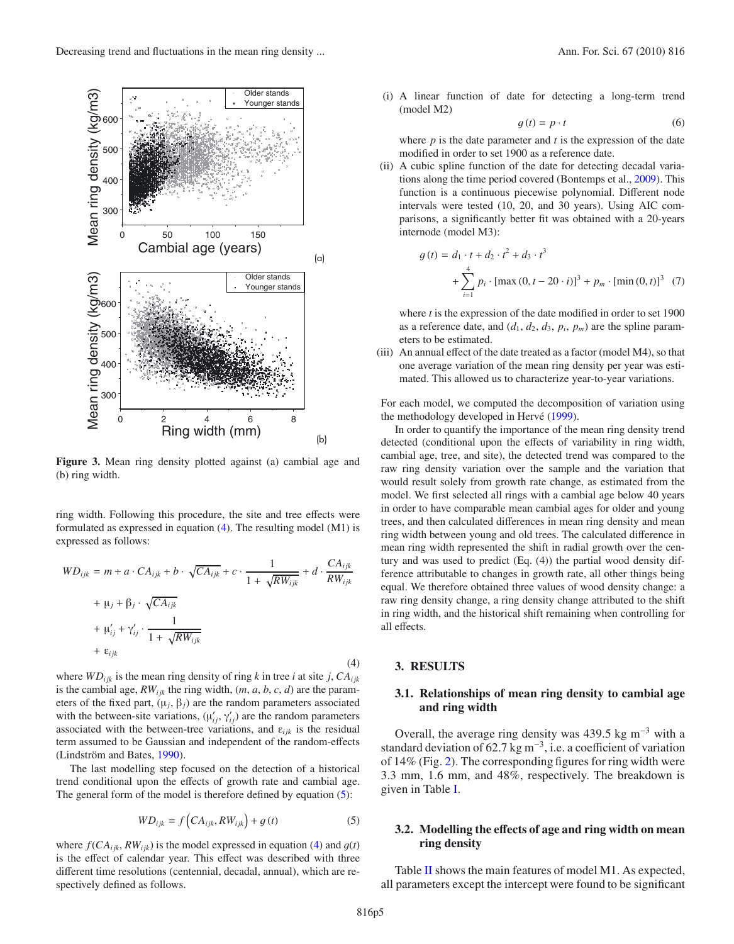

<span id="page-4-1"></span><span id="page-4-0"></span>**Figure 3.** Mean ring density plotted against (a) cambial age and (b) ring width.

ring width. Following this procedure, the site and tree effects were formulated as expressed in equation  $(4)$ . The resulting model  $(M1)$  is expressed as follows:

$$
WD_{ijk} = m + a \cdot CA_{ijk} + b \cdot \sqrt{CA_{ijk}} + c \cdot \frac{1}{1 + \sqrt{RW_{ijk}}} + d \cdot \frac{CA_{ijk}}{RW_{ijk}}
$$
  
+  $\mu'_{ij} + \beta_j \cdot \sqrt{CA_{ijk}}$   
+  $\mu'_{ij} + \gamma'_{ij} \cdot \frac{1}{1 + \sqrt{RW_{ijk}}}$   
+  $\varepsilon_{ijk}$  (4)

where  $WD_{ijk}$  is the mean ring density of ring *k* in tree *i* at site *j*,  $CA_{ijk}$ is the cambial age,  $RW_{ijk}$  the ring width,  $(m, a, b, c, d)$  are the parameters of the fixed part,  $(\mu_i, \beta_i)$  are the random parameters associated with the between-site variations,  $(\mu'_{ij}, \gamma'_{ij})$  are the random parameters associated with the between-tree variations, and  $\varepsilon_{ijk}$  is the residual term assumed to be Gaussian and independent of the random-effects (Lindström and Bates, [1990](#page-9-11)).

The last modelling step focused on the detection of a historical trend conditional upon the effects of growth rate and cambial age. The general form of the model is therefore defined by equation  $(5)$ :

$$
WD_{ijk} = f\left(CA_{ijk}, RW_{ijk}\right) + g\left(t\right) \tag{5}
$$

where  $f(CA_{ijk}, RW_{ijk})$  is the model expressed in equation [\(4\)](#page-4-1) and  $g(t)$ is the effect of calendar year. This effect was described with three different time resolutions (centennial, decadal, annual), which are respectively defined as follows.

(i) A linear function of date for detecting a long-term trend (model M2)

$$
g(t) = p \cdot t \tag{6}
$$

where *p* is the date parameter and *t* is the expression of the date modified in order to set 1900 as a reference date.

(ii) A cubic spline function of the date for detecting decadal variations along the time period covered (Bontemps et al., [2009](#page-8-8)). This function is a continuous piecewise polynomial. Different node intervals were tested (10, 20, and 30 years). Using AIC comparisons, a significantly better fit was obtained with a 20-years internode (model M3):

$$
g(t) = d_1 \cdot t + d_2 \cdot t^2 + d_3 \cdot t^3 + \sum_{i=1}^{4} p_i \cdot [\max(0, t - 20 \cdot i)]^3 + p_m \cdot [\min(0, t)]^3
$$
 (7)

where *t* is the expression of the date modified in order to set 1900 as a reference date, and  $(d_1, d_2, d_3, p_i, p_m)$  are the spline parameters to be estimated.

(iii) An annual effect of the date treated as a factor (model M4), so that one average variation of the mean ring density per year was estimated. This allowed us to characterize year-to-year variations.

For each model, we computed the decomposition of variation using the methodology developed in Hervé [\(1999\)](#page-8-11).

In order to quantify the importance of the mean ring density trend detected (conditional upon the effects of variability in ring width, cambial age, tree, and site), the detected trend was compared to the raw ring density variation over the sample and the variation that would result solely from growth rate change, as estimated from the model. We first selected all rings with a cambial age below 40 years in order to have comparable mean cambial ages for older and young trees, and then calculated differences in mean ring density and mean ring width between young and old trees. The calculated difference in mean ring width represented the shift in radial growth over the century and was used to predict (Eq. (4)) the partial wood density difference attributable to changes in growth rate, all other things being equal. We therefore obtained three values of wood density change: a raw ring density change, a ring density change attributed to the shift in ring width, and the historical shift remaining when controlling for all effects.

#### <span id="page-4-2"></span>**3. RESULTS**

## **3.1. Relationships of mean ring density to cambial age and ring width**

Overall, the average ring density was 439.5 kg m<sup>-3</sup> with a standard deviation of 62.7 kg m−3, i.e. a coefficient of variation of 14% (Fig. [2\)](#page-3-0). The corresponding figures for ring width were 3.3 mm, 1.6 mm, and 48%, respectively. The breakdown is given in Table [I.](#page-2-0)

## **3.2. Modelling the e**ff**ects of age and ring width on mean ring density**

Table [II](#page-5-0) shows the main features of model M1. As expected, all parameters except the intercept were found to be significant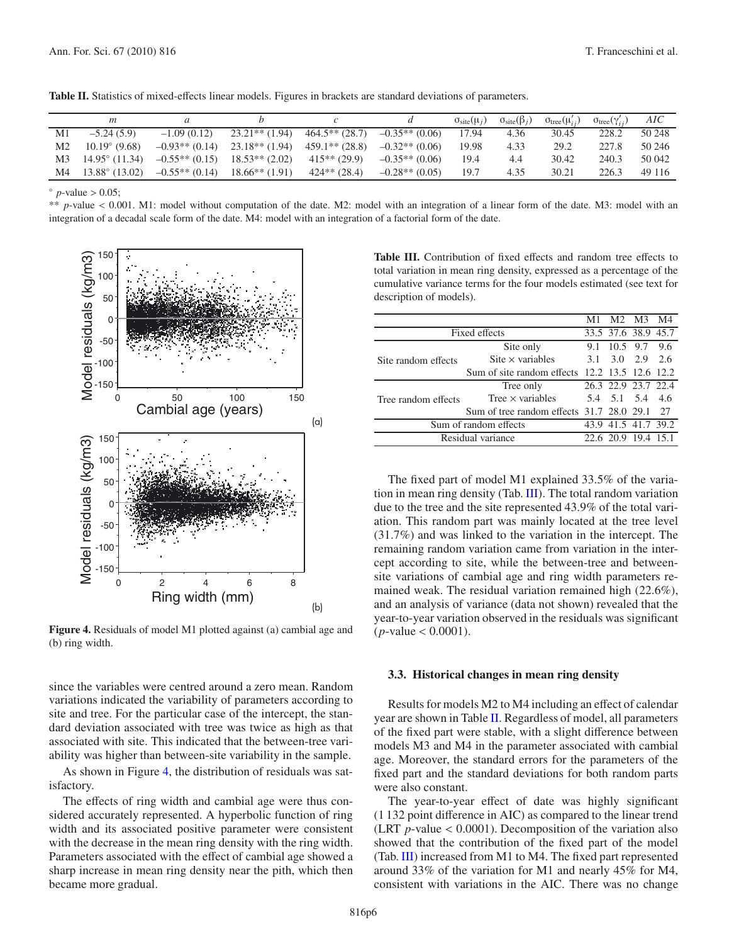<span id="page-5-0"></span>**Table II.** Statistics of mixed-effects linear models. Figures in brackets are standard deviations of parameters.

|    |                         |                  |                  |                  |                  | $\sigma_{\text{site}}(\mu_i)$ | $\sigma_{\text{site}}(\beta_i)$ | $\sigma_{\text{tree}}(\mu'_{ij})$ | $\sigma_{\text{tree}}(\gamma_{ii}')$ | AIC    |
|----|-------------------------|------------------|------------------|------------------|------------------|-------------------------------|---------------------------------|-----------------------------------|--------------------------------------|--------|
| M1 | $-5.24(5.9)$            | $-1.09(0.12)$    | $23.21**$ (1.94) | $464.5**$ (28.7) | $-0.35**$ (0.06) | 17.94                         | 4.36                            | 30.45                             | 228.2                                | 50 248 |
| M2 | $10.19^{\circ}$ (9.68)  | $-0.93**$ (0.14) | $23.18**$ (1.94) | $459.1**$ (28.8) | $-0.32**$ (0.06) | 19.98                         | 4.33                            | 29.2                              | 227.8                                | 50 246 |
| M3 | $14.95^{\circ}$ (11.34) | $-0.55**$ (0.15) | $18.53**$ (2.02) | $415**$ (29.9)   | $-0.35**$ (0.06) | 19.4                          | 4.4                             | 30.42                             | 240.3                                | 50 042 |
| M4 | $13.88^{\circ}$ (13.02) | $-0.55**$ (0.14) | $18.66**$ (1.91) | $424**$ (28.4)   | $-0.28**$ (0.05) | 19.7                          | 4.35                            | 30.21                             | 226.3                                | 49 116 |

 $\degree$  *p*-value > 0.05;

\*\* *<sup>p</sup>*-value < 0.001. M1: model without computation of the date. M2: model with an integration of a linear form of the date. M3: model with an integration of a decadal scale form of the date. M4: model with an integration of a factorial form of the date.



<span id="page-5-1"></span>**Figure 4.** Residuals of model M1 plotted against (a) cambial age and (b) ring width.

since the variables were centred around a zero mean. Random variations indicated the variability of parameters according to site and tree. For the particular case of the intercept, the standard deviation associated with tree was twice as high as that associated with site. This indicated that the between-tree variability was higher than between-site variability in the sample.

As shown in Figure [4,](#page-5-1) the distribution of residuals was satisfactory.

The effects of ring width and cambial age were thus considered accurately represented. A hyperbolic function of ring width and its associated positive parameter were consistent with the decrease in the mean ring density with the ring width. Parameters associated with the effect of cambial age showed a sharp increase in mean ring density near the pith, which then became more gradual.

<span id="page-5-2"></span>**Table III.** Contribution of fixed effects and random tree effects to total variation in mean ring density, expressed as a percentage of the cumulative variance terms for the four models estimated (see text for description of models).

|                       |                                                |                     | M1 M2 M3 M4         |  |
|-----------------------|------------------------------------------------|---------------------|---------------------|--|
| Fixed effects         |                                                |                     | 33.5 37.6 38.9 45.7 |  |
|                       | Site only                                      |                     | 9.1 10.5 9.7 9.6    |  |
| Site random effects   | Site $\times$ variables                        |                     | 3.1 3.0 2.9 2.6     |  |
|                       | Sum of site random effects 12.2 13.5 12.6 12.2 |                     |                     |  |
|                       | Tree only                                      |                     | 26.3 22.9 23.7 22.4 |  |
| Tree random effects   | Tree $\times$ variables                        |                     | 5.4 5.1 5.4 4.6     |  |
|                       | Sum of tree random effects 31.7 28.0 29.1 27   |                     |                     |  |
| Sum of random effects |                                                | 43.9 41.5 41.7 39.2 |                     |  |
| Residual variance     |                                                |                     | 22.6 20.9 19.4 15.1 |  |

The fixed part of model M1 explained 33.5% of the variation in mean ring density (Tab. [III\)](#page-5-2). The total random variation due to the tree and the site represented 43.9% of the total variation. This random part was mainly located at the tree level (31.7%) and was linked to the variation in the intercept. The remaining random variation came from variation in the intercept according to site, while the between-tree and betweensite variations of cambial age and ring width parameters remained weak. The residual variation remained high (22.6%), and an analysis of variance (data not shown) revealed that the year-to-year variation observed in the residuals was significant  $(p$ -value  $< 0.0001$ ).

### **3.3. Historical changes in mean ring density**

Results for models M2 to M4 including an effect of calendar year are shown in Table [II.](#page-5-0) Regardless of model, all parameters of the fixed part were stable, with a slight difference between models M3 and M4 in the parameter associated with cambial age. Moreover, the standard errors for the parameters of the fixed part and the standard deviations for both random parts were also constant.

The year-to-year effect of date was highly significant (1 132 point difference in AIC) as compared to the linear trend (LRT *<sup>p</sup>*-value < 0.0001). Decomposition of the variation also showed that the contribution of the fixed part of the model (Tab. [III\)](#page-5-2) increased from M1 to M4. The fixed part represented around 33% of the variation for M1 and nearly 45% for M4, consistent with variations in the AIC. There was no change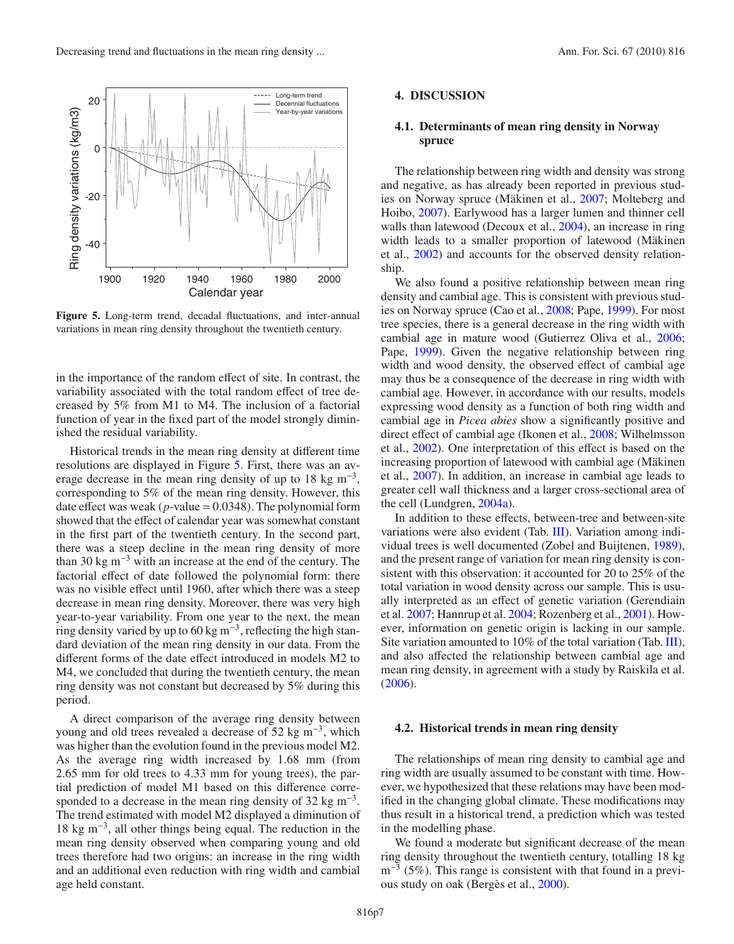<span id="page-6-0"></span>

**Figure 5.** Long-term trend, decadal fluctuations, and inter-annual variations in mean ring density throughout the twentieth century.

in the importance of the random effect of site. In contrast, the variability associated with the total random effect of tree decreased by 5% from M1 to M4. The inclusion of a factorial function of year in the fixed part of the model strongly diminished the residual variability.

Historical trends in the mean ring density at different time resolutions are displayed in Figure [5.](#page-6-0) First, there was an average decrease in the mean ring density of up to 18 kg m<sup>-3</sup>, corresponding to 5% of the mean ring density. However, this date effect was weak ( $p$ -value = 0.0348). The polynomial form showed that the effect of calendar year was somewhat constant in the first part of the twentieth century. In the second part, there was a steep decline in the mean ring density of more than 30 kg m<sup>-3</sup> with an increase at the end of the century. The factorial effect of date followed the polynomial form: there was no visible effect until 1960, after which there was a steep decrease in mean ring density. Moreover, there was very high year-to-year variability. From one year to the next, the mean ring density varied by up to 60 kg m<sup>-3</sup>, reflecting the high standard deviation of the mean ring density in our data. From the different forms of the date effect introduced in models M2 to M4, we concluded that during the twentieth century, the mean ring density was not constant but decreased by 5% during this period.

A direct comparison of the average ring density between young and old trees revealed a decrease of 52 kg m<sup>-3</sup>, which was higher than the evolution found in the previous model M2. As the average ring width increased by 1.68 mm (from 2.65 mm for old trees to 4.33 mm for young trees), the partial prediction of model M1 based on this difference corresponded to a decrease in the mean ring density of 32 kg m<sup>-3</sup>. The trend estimated with model M2 displayed a diminution of 18 kg m−3, all other things being equal. The reduction in the mean ring density observed when comparing young and old trees therefore had two origins: an increase in the ring width and an additional even reduction with ring width and cambial age held constant.

### **4. DISCUSSION**

# **4.1. Determinants of mean ring density in Norway spruce**

The relationship between ring width and density was strong and negative, as has already been reported in previous studies on Norway spruce (Mäkinen et al., [2007](#page-9-13); Molteberg and Hoibo, [2007\)](#page-9-14). Earlywood has a larger lumen and thinner cell walls than latewood (Decoux et al., [2004](#page-8-12)), an increase in ring width leads to a smaller proportion of latewood (Mäkinen et al., [2002\)](#page-9-15) and accounts for the observed density relationship.

We also found a positive relationship between mean ring density and cambial age. This is consistent with previous studies on Norway spruce (Cao et al., [2008](#page-8-13); Pape, [1999](#page-9-16)). For most tree species, there is a general decrease in the ring width with cambial age in mature wood (Gutierrez Oliva et al., [2006;](#page-8-14) Pape, [1999\)](#page-9-16). Given the negative relationship between ring width and wood density, the observed effect of cambial age may thus be a consequence of the decrease in ring width with cambial age. However, in accordance with our results, models expressing wood density as a function of both ring width and cambial age in *Picea abies* show a significantly positive and direct effect of cambial age (Ikonen et al., [2008](#page-9-17); Wilhelmsson et al., [2002\)](#page-9-18). One interpretation of this effect is based on the increasing proportion of latewood with cambial age (Mäkinen et al., [2007\)](#page-9-13). In addition, an increase in cambial age leads to greater cell wall thickness and a larger cross-sectional area of the cell (Lundgren, [2004a](#page-9-19)).

In addition to these effects, between-tree and between-site variations were also evident (Tab. [III\)](#page-5-2). Variation among individual trees is well documented (Zobel and Buijtenen, [1989\)](#page-9-4), and the present range of variation for mean ring density is consistent with this observation: it accounted for 20 to 25% of the total variation in wood density across our sample. This is usually interpreted as an effect of genetic variation (Gerendiain et al. [2007;](#page-8-15) Hannrup et al. [2004;](#page-8-3) Rozenberg et al., [2001\)](#page-9-2). However, information on genetic origin is lacking in our sample. Site variation amounted to 10% of the total variation (Tab. [III\)](#page-5-2), and also affected the relationship between cambial age and mean ring density, in agreement with a study by Raiskila et al. [\(2006\)](#page-9-20).

#### **4.2. Historical trends in mean ring density**

The relationships of mean ring density to cambial age and ring width are usually assumed to be constant with time. However, we hypothesized that these relations may have been modified in the changing global climate. These modifications may thus result in a historical trend, a prediction which was tested in the modelling phase.

We found a moderate but significant decrease of the mean ring density throughout the twentieth century, totalling 18 kg  $m^{-3}$  (5%). This range is consistent with that found in a previous study on oak (Bergès et al., [2000\)](#page-8-2).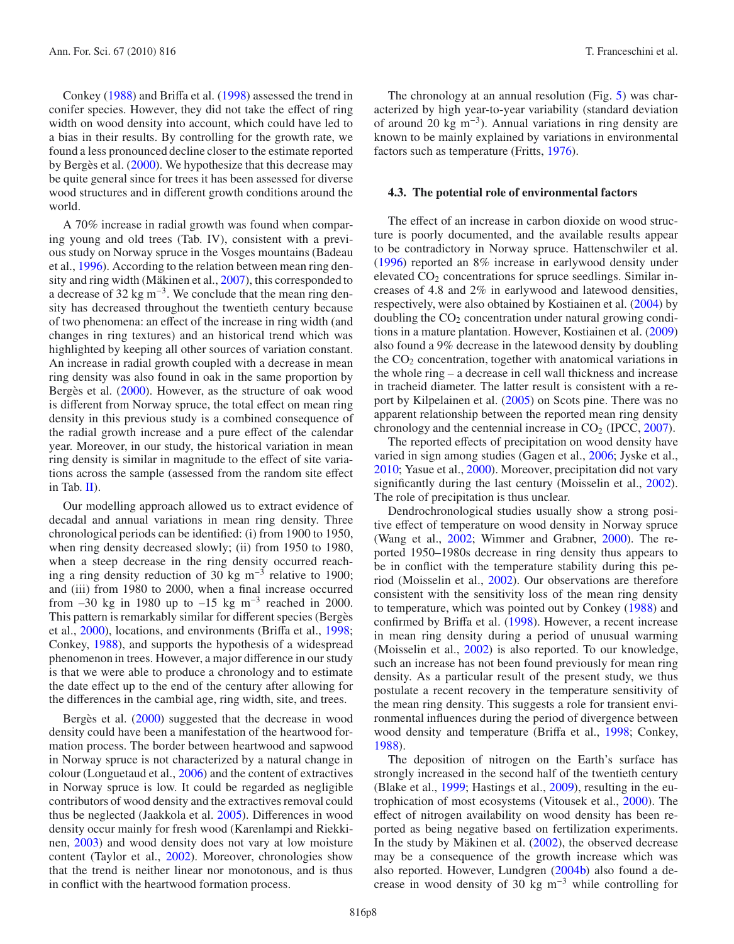Conkey [\(1988\)](#page-8-6) and Briffa et al. [\(1998\)](#page-8-1) assessed the trend in conifer species. However, they did not take the effect of ring width on wood density into account, which could have led to a bias in their results. By controlling for the growth rate, we found a less pronounced decline closer to the estimate reported by Bergès et al. [\(2000](#page-8-2)). We hypothesize that this decrease may be quite general since for trees it has been assessed for diverse wood structures and in different growth conditions around the world.

A 70% increase in radial growth was found when comparing young and old trees (Tab. IV), consistent with a previous study on Norway spruce in the Vosges mountains (Badeau et al., [1996](#page-8-7)). According to the relation between mean ring density and ring width (Mäkinen et al., [2007\)](#page-9-13), this corresponded to a decrease of 32 kg m−3. We conclude that the mean ring density has decreased throughout the twentieth century because of two phenomena: an effect of the increase in ring width (and changes in ring textures) and an historical trend which was highlighted by keeping all other sources of variation constant. An increase in radial growth coupled with a decrease in mean ring density was also found in oak in the same proportion by Bergès et al. [\(2000\)](#page-8-2). However, as the structure of oak wood is different from Norway spruce, the total effect on mean ring density in this previous study is a combined consequence of the radial growth increase and a pure effect of the calendar year. Moreover, in our study, the historical variation in mean ring density is similar in magnitude to the effect of site variations across the sample (assessed from the random site effect in Tab. [II\)](#page-5-0).

Our modelling approach allowed us to extract evidence of decadal and annual variations in mean ring density. Three chronological periods can be identified: (i) from 1900 to 1950, when ring density decreased slowly; (ii) from 1950 to 1980, when a steep decrease in the ring density occurred reaching a ring density reduction of 30 kg m<sup>-3</sup> relative to 1900; and (iii) from 1980 to 2000, when a final increase occurred from  $-30$  kg in 1980 up to  $-15$  kg m<sup>-3</sup> reached in 2000. This pattern is remarkably similar for different species (Bergès et al., [2000\)](#page-8-2), locations, and environments (Briffa et al., [1998;](#page-8-1) Conkey, [1988\)](#page-8-6), and supports the hypothesis of a widespread phenomenon in trees. However, a major difference in our study is that we were able to produce a chronology and to estimate the date effect up to the end of the century after allowing for the differences in the cambial age, ring width, site, and trees.

Bergès et al. [\(2000](#page-8-2)) suggested that the decrease in wood density could have been a manifestation of the heartwood formation process. The border between heartwood and sapwood in Norway spruce is not characterized by a natural change in colour (Longuetaud et al., [2006\)](#page-9-21) and the content of extractives in Norway spruce is low. It could be regarded as negligible contributors of wood density and the extractives removal could thus be neglected (Jaakkola et al. [2005](#page-9-22)). Differences in wood density occur mainly for fresh wood (Karenlampi and Riekkinen, [2003](#page-9-23)) and wood density does not vary at low moisture content (Taylor et al., [2002\)](#page-9-24). Moreover, chronologies show that the trend is neither linear nor monotonous, and is thus in conflict with the heartwood formation process.

The chronology at an annual resolution (Fig. [5\)](#page-6-0) was characterized by high year-to-year variability (standard deviation of around 20 kg m−3). Annual variations in ring density are known to be mainly explained by variations in environmental factors such as temperature (Fritts, [1976\)](#page-8-16).

#### **4.3. The potential role of environmental factors**

The effect of an increase in carbon dioxide on wood structure is poorly documented, and the available results appear to be contradictory in Norway spruce. Hattenschwiler et al. [\(1996\)](#page-8-17) reported an 8% increase in earlywood density under elevated  $CO<sub>2</sub>$  concentrations for spruce seedlings. Similar increases of 4.8 and 2% in earlywood and latewood densities, respectively, were also obtained by Kostiainen et al. [\(2004\)](#page-9-25) by doubling the  $CO<sub>2</sub>$  concentration under natural growing conditions in a mature plantation. However, Kostiainen et al. [\(2009\)](#page-9-26) also found a 9% decrease in the latewood density by doubling the  $CO<sub>2</sub>$  concentration, together with anatomical variations in the whole ring – a decrease in cell wall thickness and increase in tracheid diameter. The latter result is consistent with a report by Kilpelainen et al. [\(2005](#page-9-27)) on Scots pine. There was no apparent relationship between the reported mean ring density chronology and the centennial increase in  $CO<sub>2</sub>$  (IPCC, [2007](#page-9-28)).

The reported effects of precipitation on wood density have varied in sign among studies (Gagen et al., [2006;](#page-8-18) Jyske et al., [2010;](#page-9-29) Yasue et al., [2000\)](#page-9-30). Moreover, precipitation did not vary significantly during the last century (Moisselin et al., [2002](#page-9-31)). The role of precipitation is thus unclear.

Dendrochronological studies usually show a strong positive effect of temperature on wood density in Norway spruce (Wang et al., [2002;](#page-9-32) Wimmer and Grabner, [2000\)](#page-9-33). The reported 1950–1980s decrease in ring density thus appears to be in conflict with the temperature stability during this period (Moisselin et al., [2002\)](#page-9-31). Our observations are therefore consistent with the sensitivity loss of the mean ring density to temperature, which was pointed out by Conkey [\(1988\)](#page-8-6) and confirmed by Briffa et al. [\(1998\)](#page-8-1). However, a recent increase in mean ring density during a period of unusual warming (Moisselin et al., [2002\)](#page-9-31) is also reported. To our knowledge, such an increase has not been found previously for mean ring density. As a particular result of the present study, we thus postulate a recent recovery in the temperature sensitivity of the mean ring density. This suggests a role for transient environmental influences during the period of divergence between wood density and temperature (Briffa et al., [1998;](#page-8-1) Conkey, [1988\)](#page-8-6).

The deposition of nitrogen on the Earth's surface has strongly increased in the second half of the twentieth century (Blake et al., [1999;](#page-8-19) Hastings et al., [2009\)](#page-8-20), resulting in the eutrophication of most ecosystems (Vitousek et al., [2000\)](#page-9-34). The effect of nitrogen availability on wood density has been reported as being negative based on fertilization experiments. In the study by Mäkinen et al. [\(2002\)](#page-9-15), the observed decrease may be a consequence of the growth increase which was also reported. However, Lundgren [\(2004b\)](#page-9-35) also found a decrease in wood density of 30 kg m<sup>-3</sup> while controlling for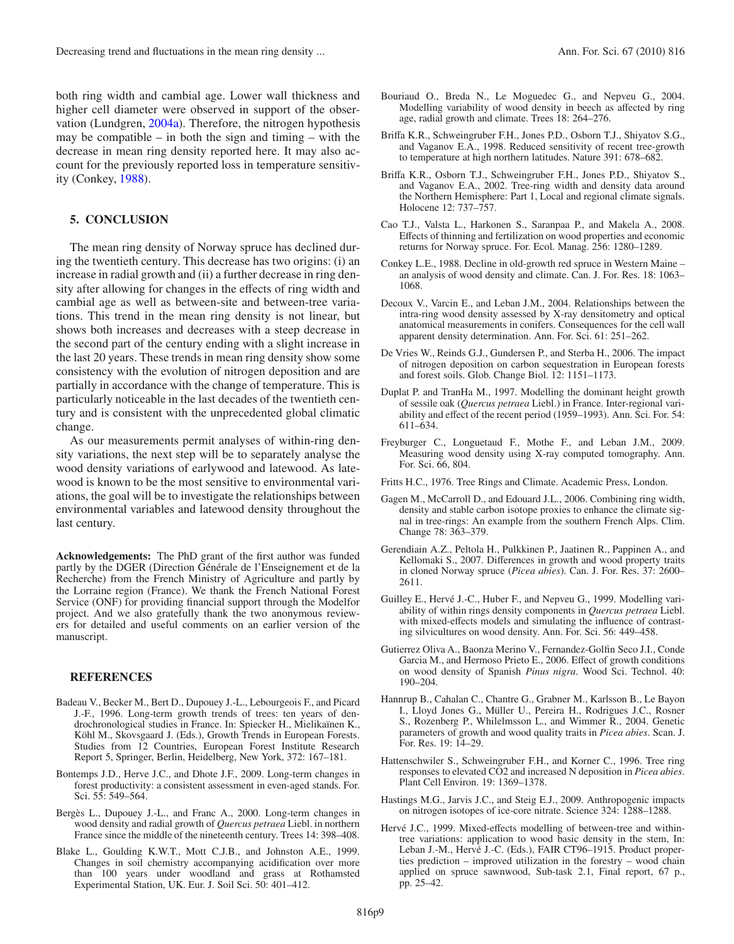both ring width and cambial age. Lower wall thickness and higher cell diameter were observed in support of the observation (Lundgren, [2004a\)](#page-9-19). Therefore, the nitrogen hypothesis may be compatible – in both the sign and timing – with the decrease in mean ring density reported here. It may also account for the previously reported loss in temperature sensitivity (Conkey, [1988\)](#page-8-6).

#### **5. CONCLUSION**

The mean ring density of Norway spruce has declined during the twentieth century. This decrease has two origins: (i) an increase in radial growth and (ii) a further decrease in ring density after allowing for changes in the effects of ring width and cambial age as well as between-site and between-tree variations. This trend in the mean ring density is not linear, but shows both increases and decreases with a steep decrease in the second part of the century ending with a slight increase in the last 20 years. These trends in mean ring density show some consistency with the evolution of nitrogen deposition and are partially in accordance with the change of temperature. This is particularly noticeable in the last decades of the twentieth century and is consistent with the unprecedented global climatic change.

As our measurements permit analyses of within-ring density variations, the next step will be to separately analyse the wood density variations of earlywood and latewood. As latewood is known to be the most sensitive to environmental variations, the goal will be to investigate the relationships between environmental variables and latewood density throughout the last century.

**Acknowledgements:** The PhD grant of the first author was funded partly by the DGER (Direction Générale de l'Enseignement et de la Recherche) from the French Ministry of Agriculture and partly by the Lorraine region (France). We thank the French National Forest Service (ONF) for providing financial support through the Modelfor project. And we also gratefully thank the two anonymous reviewers for detailed and useful comments on an earlier version of the manuscript.

### **REFERENCES**

- <span id="page-8-7"></span>Badeau V., Becker M., Bert D., Dupouey J.-L., Lebourgeois F., and Picard J.-F., 1996. Long-term growth trends of trees: ten years of dendrochronological studies in France. In: Spiecker H., Mielikaïnen K., Köhl M., Skovsgaard J. (Eds.), Growth Trends in European Forests. Studies from 12 Countries, European Forest Institute Research Report 5, Springer, Berlin, Heidelberg, New York, 372: 167–181.
- <span id="page-8-8"></span>Bontemps J.D., Herve J.C., and Dhote J.F., 2009. Long-term changes in forest productivity: a consistent assessment in even-aged stands. For. Sci. 55: 549–564.
- <span id="page-8-2"></span>Bergès L., Dupouey J.-L., and Franc A., 2000. Long-term changes in wood density and radial growth of *Quercus petraea* Liebl. in northern France since the middle of the nineteenth century. Trees 14: 398–408.
- <span id="page-8-19"></span>Blake L., Goulding K.W.T., Mott C.J.B., and Johnston A.E., 1999. Changes in soil chemistry accompanying acidification over more than 100 years under woodland and grass at Rothamsted Experimental Station, UK. Eur. J. Soil Sci. 50: 401–412.
- <span id="page-8-4"></span>Bouriaud O., Breda N., Le Moguedec G., and Nepveu G., 2004. Modelling variability of wood density in beech as affected by ring age, radial growth and climate. Trees 18: 264–276.
- <span id="page-8-1"></span>Briffa K.R., Schweingruber F.H., Jones P.D., Osborn T.J., Shiyatov S.G., and Vaganov E.A., 1998. Reduced sensitivity of recent tree-growth to temperature at high northern latitudes. Nature 391: 678–682.
- <span id="page-8-5"></span>Briffa K.R., Osborn T.J., Schweingruber F.H., Jones P.D., Shiyatov S., and Vaganov E.A., 2002. Tree-ring width and density data around the Northern Hemisphere: Part 1, Local and regional climate signals. Holocene 12: 737–757.
- <span id="page-8-13"></span>Cao T.J., Valsta L., Harkonen S., Saranpaa P., and Makela A., 2008. Effects of thinning and fertilization on wood properties and economic returns for Norway spruce. For. Ecol. Manag. 256: 1280–1289.
- <span id="page-8-6"></span>Conkey L.E., 1988. Decline in old-growth red spruce in Western Maine – an analysis of wood density and climate. Can. J. For. Res. 18: 1063– 1068.
- <span id="page-8-12"></span>Decoux V., Varcin E., and Leban J.M., 2004. Relationships between the intra-ring wood density assessed by X-ray densitometry and optical anatomical measurements in conifers. Consequences for the cell wall apparent density determination. Ann. For. Sci. 61: 251–262.
- <span id="page-8-0"></span>De Vries W., Reinds G.J., Gundersen P., and Sterba H., 2006. The impact of nitrogen deposition on carbon sequestration in European forests and forest soils. Glob. Change Biol. 12: 1151–1173.
- Duplat P. and TranHa M., 1997. Modelling the dominant height growth of sessile oak (*Quercus petraea* Liebl.) in France. Inter-regional variability and effect of the recent period (1959–1993). Ann. Sci. For. 54: 611–634.
- <span id="page-8-9"></span>Freyburger C., Longuetaud F., Mothe F., and Leban J.M., 2009. Measuring wood density using X-ray computed tomography. Ann. For. Sci. 66, 804.

<span id="page-8-16"></span>Fritts H.C., 1976. Tree Rings and Climate. Academic Press, London.

- <span id="page-8-18"></span>Gagen M., McCarroll D., and Edouard J.L., 2006. Combining ring width, density and stable carbon isotope proxies to enhance the climate signal in tree-rings: An example from the southern French Alps. Clim. Change 78: 363–379.
- <span id="page-8-15"></span>Gerendiain A.Z., Peltola H., Pulkkinen P., Jaatinen R., Pappinen A., and Kellomaki S., 2007. Differences in growth and wood property traits in cloned Norway spruce (*Picea abies*). Can. J. For. Res. 37: 2600– 2611.
- <span id="page-8-10"></span>Guilley E., Hervé J.-C., Huber F., and Nepveu G., 1999. Modelling variability of within rings density components in *Quercus petraea* Liebl. with mixed-effects models and simulating the influence of contrasting silvicultures on wood density. Ann. For. Sci. 56: 449–458.
- <span id="page-8-14"></span>Gutierrez Oliva A., Baonza Merino V., Fernandez-Golfin Seco J.I., Conde Garcia M., and Hermoso Prieto E., 2006. Effect of growth conditions on wood density of Spanish *Pinus nigra*. Wood Sci. Technol. 40: 190–204.
- <span id="page-8-3"></span>Hannrup B., Cahalan C., Chantre G., Grabner M., Karlsson B., Le Bayon I., Lloyd Jones G., Müller U., Pereira H., Rodrigues J.C., Rosner S., Rozenberg P., Whilelmsson L., and Wimmer R., 2004. Genetic parameters of growth and wood quality traits in *Picea abies*. Scan. J. For. Res. 19: 14–29.
- <span id="page-8-17"></span>Hattenschwiler S., Schweingruber F.H., and Korner C., 1996. Tree ring responses to elevated CO2 and increased N deposition in *Picea abies*. Plant Cell Environ. 19: 1369–1378.
- <span id="page-8-20"></span>Hastings M.G., Jarvis J.C., and Steig E.J., 2009. Anthropogenic impacts on nitrogen isotopes of ice-core nitrate. Science 324: 1288–1288.
- <span id="page-8-11"></span>Hervé J.C., 1999. Mixed-effects modelling of between-tree and withintree variations: application to wood basic density in the stem, In: Leban J.-M., Hervé J.-C. (Eds.), FAIR CT96–1915. Product properties prediction – improved utilization in the forestry – wood chain applied on spruce sawnwood, Sub-task 2.1, Final report, 67 p., pp. 25–42.